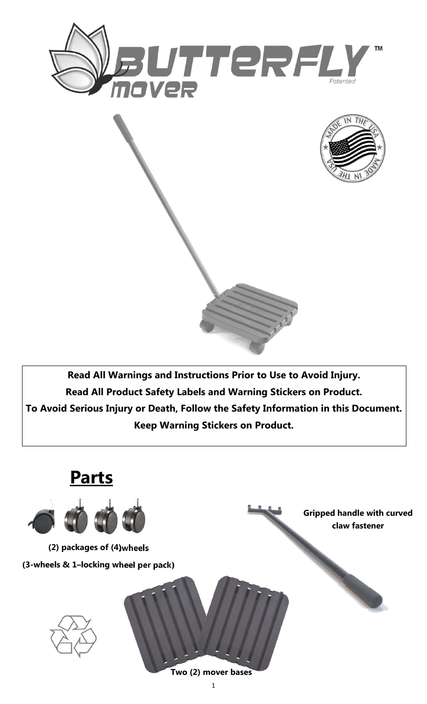



**Read All Warnings and Instructions Prior to Use to Avoid Injury. Read All Product Safety Labels and Warning Stickers on Product. To Avoid Serious Injury or Death, Follow the Safety Information in this Document. Keep Warning Stickers on Product.** 

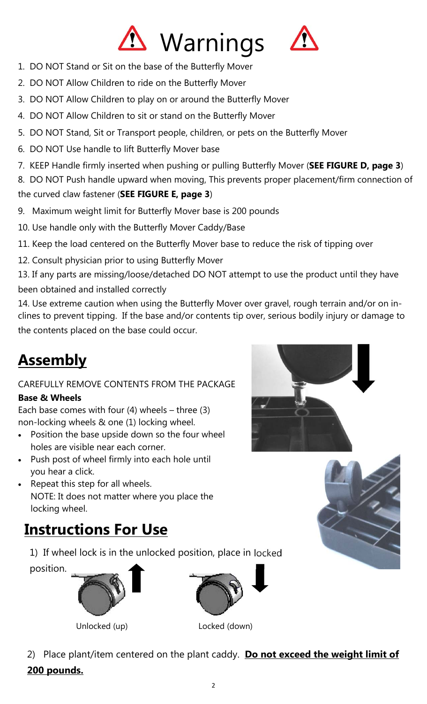

- 1. DO NOT Stand or Sit on the base of the Butterfly Mover
- 2. DO NOT Allow Children to ride on the Butterfly Mover
- 3. DO NOT Allow Children to play on or around the Butterfly Mover
- 4. DO NOT Allow Children to sit or stand on the Butterfly Mover
- 5. DO NOT Stand, Sit or Transport people, children, or pets on the Butterfly Mover
- 6. DO NOT Use handle to lift Butterfly Mover base
- 7. KEEP Handle firmly inserted when pushing or pulling Butterfly Mover (**SEE FIGURE D, page 3**)

8. DO NOT Push handle upward when moving, This prevents proper placement/firm connection of the curved claw fastener (**SEE FIGURE E, page 3**)

- 9. Maximum weight limit for Butterfly Mover base is 200 pounds
- 10. Use handle only with the Butterfly Mover Caddy/Base

11. Keep the load centered on the Butterfly Mover base to reduce the risk of tipping over

12. Consult physician prior to using Butterfly Mover

13. If any parts are missing/loose/detached DO NOT attempt to use the product until they have been obtained and installed correctly

14. Use extreme caution when using the Butterfly Mover over gravel, rough terrain and/or on inclines to prevent tipping. If the base and/or contents tip over, serious bodily injury or damage to the contents placed on the base could occur.

# **Assembly**

### CAREFULLY REMOVE CONTENTS FROM THE PACKAGE **Base & Wheels**

Each base comes with four  $(4)$  wheels – three  $(3)$ non-locking wheels & one (1) locking wheel.

- Position the base upside down so the four wheel holes are visible near each corner.
- Push post of wheel firmly into each hole until you hear a click.
- Repeat this step for all wheels. NOTE: It does not matter where you place the locking wheel.

## **Instructions For Use**

1) If wheel lock is in the unlocked position, place in locked

position.





Unlocked (up) Locked (down)

2) Place plant/item centered on the plant caddy. **Do not exceed the weight limit of 200 pounds.**



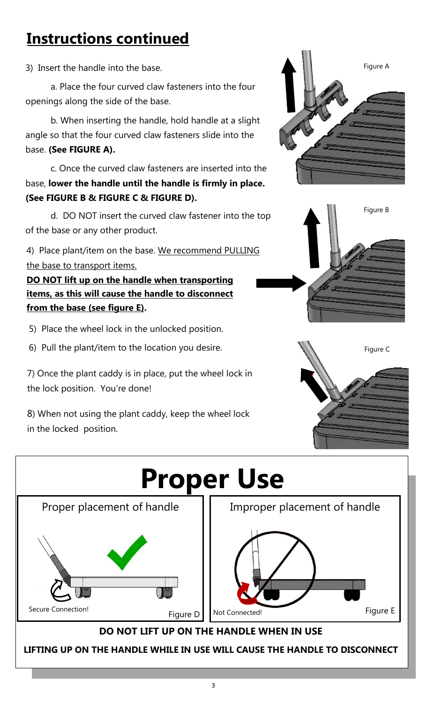## **Instructions continued**

3) Insert the handle into the base.

 a. Place the four curved claw fasteners into the four openings along the side of the base.

 b. When inserting the handle, hold handle at a slight angle so that the four curved claw fasteners slide into the base. **(See FIGURE A).** 

 c. Once the curved claw fasteners are inserted into the base, **lower the handle until the handle is firmly in place. (See FIGURE B & FIGURE C & FIGURE D).** 

 d. DO NOT insert the curved claw fastener into the top of the base or any other product.

4) Place plant/item on the base. We recommend PULLING the base to transport items.

**DO NOT lift up on the handle when transporting items, as this will cause the handle to disconnect from the base (see figure E).** 

5) Place the wheel lock in the unlocked position.

6) Pull the plant/item to the location you desire.

7) Once the plant caddy is in place, put the wheel lock in the lock position. You're done!

8) When not using the plant caddy, keep the wheel lock in the locked position.